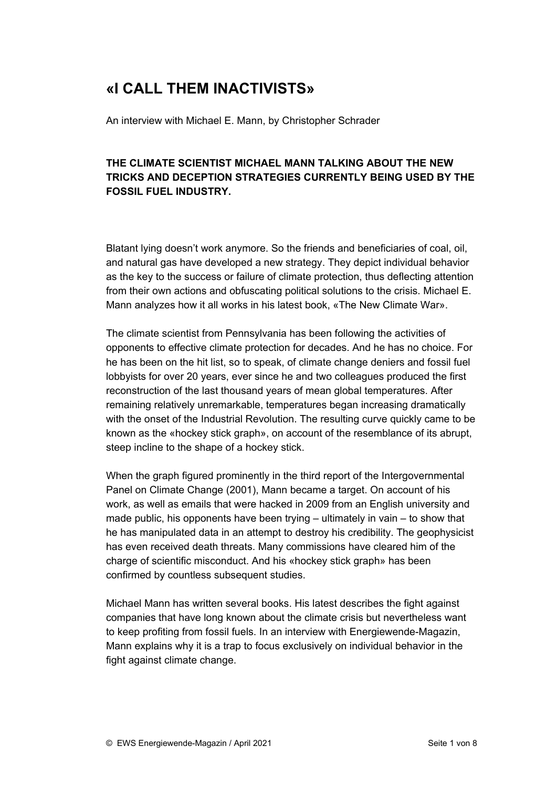# **«I CALL THEM INACTIVISTS»**

An interview with Michael E. Mann, by Christopher Schrader

# **THE CLIMATE SCIENTIST MICHAEL MANN TALKING ABOUT THE NEW TRICKS AND DECEPTION STRATEGIES CURRENTLY BEING USED BY THE FOSSIL FUEL INDUSTRY.**

Blatant lying doesn't work anymore. So the friends and beneficiaries of coal, oil, and natural gas have developed a new strategy. They depict individual behavior as the key to the success or failure of climate protection, thus deflecting attention from their own actions and obfuscating political solutions to the crisis. Michael E. Mann analyzes how it all works in his latest book, «The New Climate War».

The climate scientist from Pennsylvania has been following the activities of opponents to effective climate protection for decades. And he has no choice. For he has been on the hit list, so to speak, of climate change deniers and fossil fuel lobbyists for over 20 years, ever since he and two colleagues produced the first reconstruction of the last thousand years of mean global temperatures. After remaining relatively unremarkable, temperatures began increasing dramatically with the onset of the Industrial Revolution. The resulting curve quickly came to be known as the «hockey stick graph», on account of the resemblance of its abrupt, steep incline to the shape of a hockey stick.

When the graph figured prominently in the third report of the Intergovernmental Panel on Climate Change (2001), Mann became a target. On account of his work, as well as emails that were hacked in 2009 from an English university and made public, his opponents have been trying – ultimately in vain – to show that he has manipulated data in an attempt to destroy his credibility. The geophysicist has even received death threats. Many commissions have cleared him of the charge of scientific misconduct. And his «hockey stick graph» has been confirmed by countless subsequent studies.

Michael Mann has written several books. His latest describes the fight against companies that have long known about the climate crisis but nevertheless want to keep profiting from fossil fuels. In an interview with Energiewende-Magazin, Mann explains why it is a trap to focus exclusively on individual behavior in the fight against climate change.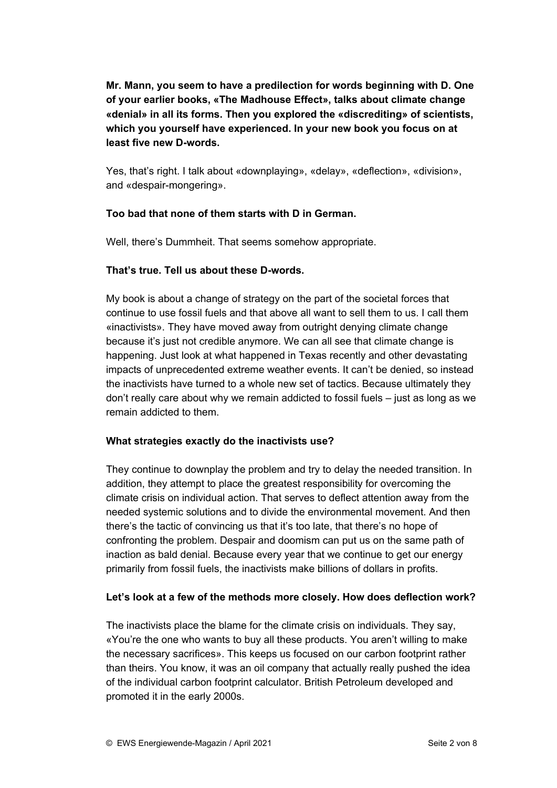# **Mr. Mann, you seem to have a predilection for words beginning with D. One of your earlier books, «The Madhouse Effect», talks about climate change «denial» in all its forms. Then you explored the «discrediting» of scientists, which you yourself have experienced. In your new book you focus on at least five new D-words.**

Yes, that's right. I talk about «downplaying», «delay», «deflection», «division», and «despair-mongering».

## **Too bad that none of them starts with D in German.**

Well, there's Dummheit. That seems somehow appropriate.

#### **That's true. Tell us about these D-words.**

My book is about a change of strategy on the part of the societal forces that continue to use fossil fuels and that above all want to sell them to us. I call them «inactivists». They have moved away from outright denying climate change because it's just not credible anymore. We can all see that climate change is happening. Just look at what happened in Texas recently and other devastating impacts of unprecedented extreme weather events. It can't be denied, so instead the inactivists have turned to a whole new set of tactics. Because ultimately they don't really care about why we remain addicted to fossil fuels – just as long as we remain addicted to them.

#### **What strategies exactly do the inactivists use?**

They continue to downplay the problem and try to delay the needed transition. In addition, they attempt to place the greatest responsibility for overcoming the climate crisis on individual action. That serves to deflect attention away from the needed systemic solutions and to divide the environmental movement. And then there's the tactic of convincing us that it's too late, that there's no hope of confronting the problem. Despair and doomism can put us on the same path of inaction as bald denial. Because every year that we continue to get our energy primarily from fossil fuels, the inactivists make billions of dollars in profits.

#### **Let's look at a few of the methods more closely. How does deflection work?**

The inactivists place the blame for the climate crisis on individuals. They say, «You're the one who wants to buy all these products. You aren't willing to make the necessary sacrifices». This keeps us focused on our carbon footprint rather than theirs. You know, it was an oil company that actually really pushed the idea of the individual carbon footprint calculator. British Petroleum developed and promoted it in the early 2000s.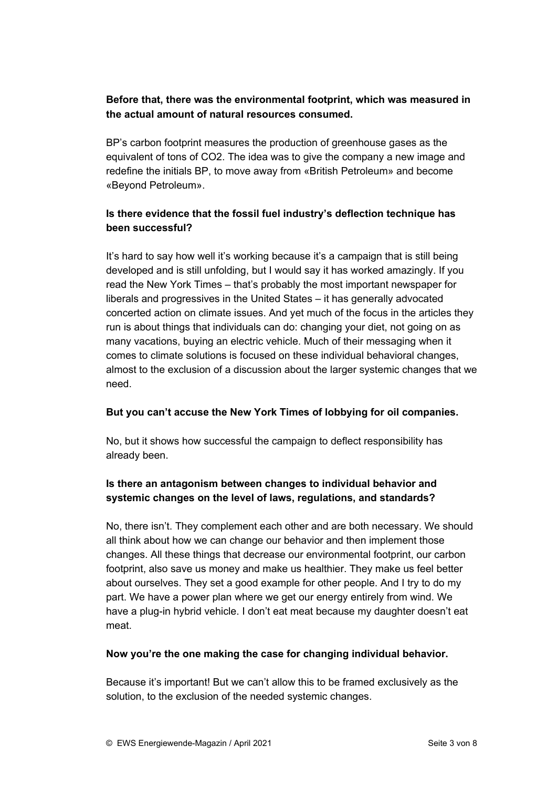# **Before that, there was the environmental footprint, which was measured in the actual amount of natural resources consumed.**

BP's carbon footprint measures the production of greenhouse gases as the equivalent of tons of CO2. The idea was to give the company a new image and redefine the initials BP, to move away from «British Petroleum» and become «Beyond Petroleum».

# **Is there evidence that the fossil fuel industry's deflection technique has been successful?**

It's hard to say how well it's working because it's a campaign that is still being developed and is still unfolding, but I would say it has worked amazingly. If you read the New York Times – that's probably the most important newspaper for liberals and progressives in the United States – it has generally advocated concerted action on climate issues. And yet much of the focus in the articles they run is about things that individuals can do: changing your diet, not going on as many vacations, buying an electric vehicle. Much of their messaging when it comes to climate solutions is focused on these individual behavioral changes, almost to the exclusion of a discussion about the larger systemic changes that we need.

## **But you can't accuse the New York Times of lobbying for oil companies.**

No, but it shows how successful the campaign to deflect responsibility has already been.

# **Is there an antagonism between changes to individual behavior and systemic changes on the level of laws, regulations, and standards?**

No, there isn't. They complement each other and are both necessary. We should all think about how we can change our behavior and then implement those changes. All these things that decrease our environmental footprint, our carbon footprint, also save us money and make us healthier. They make us feel better about ourselves. They set a good example for other people. And I try to do my part. We have a power plan where we get our energy entirely from wind. We have a plug-in hybrid vehicle. I don't eat meat because my daughter doesn't eat meat.

## **Now you're the one making the case for changing individual behavior.**

Because it's important! But we can't allow this to be framed exclusively as the solution, to the exclusion of the needed systemic changes.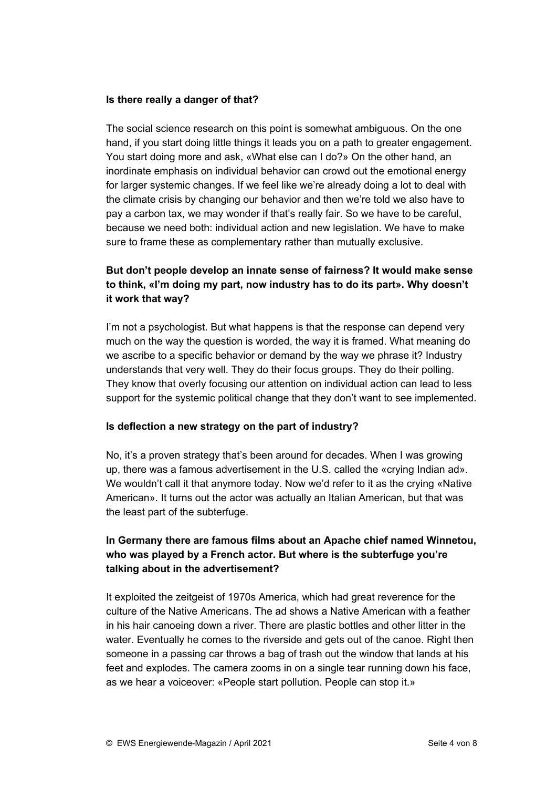#### **Is there really a danger of that?**

The social science research on this point is somewhat ambiguous. On the one hand, if you start doing little things it leads you on a path to greater engagement. You start doing more and ask, «What else can I do?» On the other hand, an inordinate emphasis on individual behavior can crowd out the emotional energy for larger systemic changes. If we feel like we're already doing a lot to deal with the climate crisis by changing our behavior and then we're told we also have to pay a carbon tax, we may wonder if that's really fair. So we have to be careful, because we need both: individual action and new legislation. We have to make sure to frame these as complementary rather than mutually exclusive.

# **But don't people develop an innate sense of fairness? It would make sense to think, «I'm doing my part, now industry has to do its part». Why doesn't it work that way?**

I'm not a psychologist. But what happens is that the response can depend very much on the way the question is worded, the way it is framed. What meaning do we ascribe to a specific behavior or demand by the way we phrase it? Industry understands that very well. They do their focus groups. They do their polling. They know that overly focusing our attention on individual action can lead to less support for the systemic political change that they don't want to see implemented.

## **Is deflection a new strategy on the part of industry?**

No, it's a proven strategy that's been around for decades. When I was growing up, there was a famous advertisement in the U.S. called the «crying Indian ad». We wouldn't call it that anymore today. Now we'd refer to it as the crying «Native American». It turns out the actor was actually an Italian American, but that was the least part of the subterfuge.

# **In Germany there are famous films about an Apache chief named Winnetou, who was played by a French actor. But where is the subterfuge you're talking about in the advertisement?**

It exploited the zeitgeist of 1970s America, which had great reverence for the culture of the Native Americans. The ad shows a Native American with a feather in his hair canoeing down a river. There are plastic bottles and other litter in the water. Eventually he comes to the riverside and gets out of the canoe. Right then someone in a passing car throws a bag of trash out the window that lands at his feet and explodes. The camera zooms in on a single tear running down his face, as we hear a voiceover: «People start pollution. People can stop it.»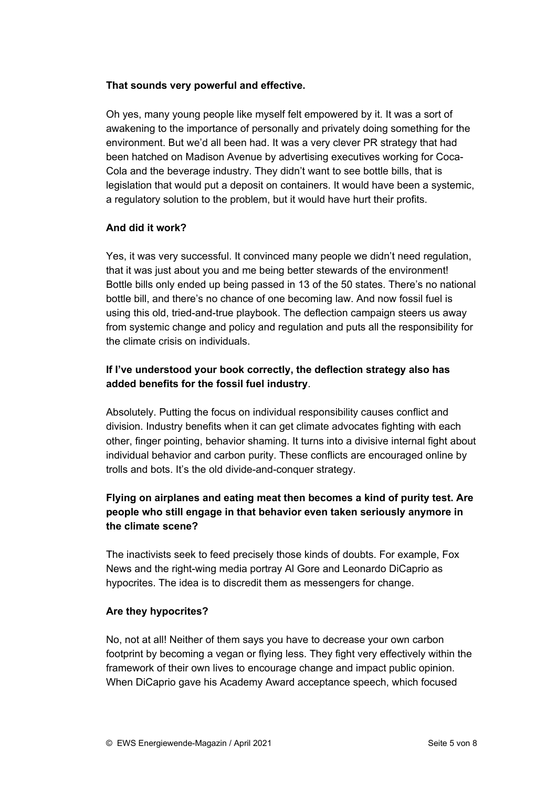## **That sounds very powerful and effective.**

Oh yes, many young people like myself felt empowered by it. It was a sort of awakening to the importance of personally and privately doing something for the environment. But we'd all been had. It was a very clever PR strategy that had been hatched on Madison Avenue by advertising executives working for Coca-Cola and the beverage industry. They didn't want to see bottle bills, that is legislation that would put a deposit on containers. It would have been a systemic, a regulatory solution to the problem, but it would have hurt their profits.

## **And did it work?**

Yes, it was very successful. It convinced many people we didn't need regulation, that it was just about you and me being better stewards of the environment! Bottle bills only ended up being passed in 13 of the 50 states. There's no national bottle bill, and there's no chance of one becoming law. And now fossil fuel is using this old, tried-and-true playbook. The deflection campaign steers us away from systemic change and policy and regulation and puts all the responsibility for the climate crisis on individuals.

## **If I've understood your book correctly, the deflection strategy also has added benefits for the fossil fuel industry**.

Absolutely. Putting the focus on individual responsibility causes conflict and division. Industry benefits when it can get climate advocates fighting with each other, finger pointing, behavior shaming. It turns into a divisive internal fight about individual behavior and carbon purity. These conflicts are encouraged online by trolls and bots. It's the old divide-and-conquer strategy.

# **Flying on airplanes and eating meat then becomes a kind of purity test. Are people who still engage in that behavior even taken seriously anymore in the climate scene?**

The inactivists seek to feed precisely those kinds of doubts. For example, Fox News and the right-wing media portray Al Gore and Leonardo DiCaprio as hypocrites. The idea is to discredit them as messengers for change.

#### **Are they hypocrites?**

No, not at all! Neither of them says you have to decrease your own carbon footprint by becoming a vegan or flying less. They fight very effectively within the framework of their own lives to encourage change and impact public opinion. When DiCaprio gave his Academy Award acceptance speech, which focused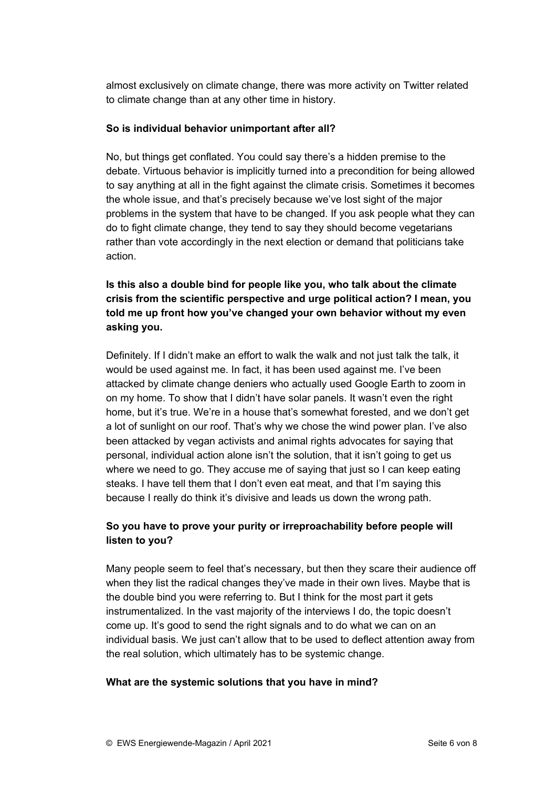almost exclusively on climate change, there was more activity on Twitter related to climate change than at any other time in history.

## **So is individual behavior unimportant after all?**

No, but things get conflated. You could say there's a hidden premise to the debate. Virtuous behavior is implicitly turned into a precondition for being allowed to say anything at all in the fight against the climate crisis. Sometimes it becomes the whole issue, and that's precisely because we've lost sight of the major problems in the system that have to be changed. If you ask people what they can do to fight climate change, they tend to say they should become vegetarians rather than vote accordingly in the next election or demand that politicians take action.

# **Is this also a double bind for people like you, who talk about the climate crisis from the scientific perspective and urge political action? I mean, you told me up front how you've changed your own behavior without my even asking you.**

Definitely. If I didn't make an effort to walk the walk and not just talk the talk, it would be used against me. In fact, it has been used against me. I've been attacked by climate change deniers who actually used Google Earth to zoom in on my home. To show that I didn't have solar panels. It wasn't even the right home, but it's true. We're in a house that's somewhat forested, and we don't get a lot of sunlight on our roof. That's why we chose the wind power plan. I've also been attacked by vegan activists and animal rights advocates for saying that personal, individual action alone isn't the solution, that it isn't going to get us where we need to go. They accuse me of saying that just so I can keep eating steaks. I have tell them that I don't even eat meat, and that I'm saying this because I really do think it's divisive and leads us down the wrong path.

# **So you have to prove your purity or irreproachability before people will listen to you?**

Many people seem to feel that's necessary, but then they scare their audience off when they list the radical changes they've made in their own lives. Maybe that is the double bind you were referring to. But I think for the most part it gets instrumentalized. In the vast majority of the interviews I do, the topic doesn't come up. It's good to send the right signals and to do what we can on an individual basis. We just can't allow that to be used to deflect attention away from the real solution, which ultimately has to be systemic change.

## **What are the systemic solutions that you have in mind?**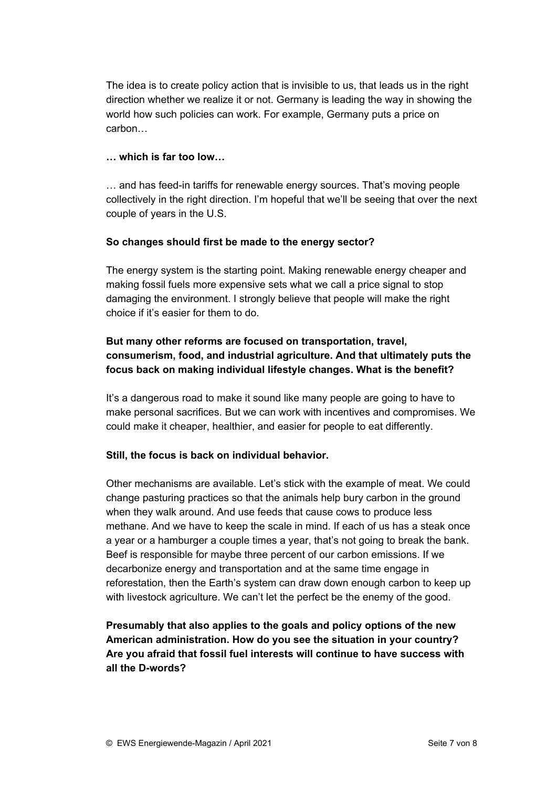The idea is to create policy action that is invisible to us, that leads us in the right direction whether we realize it or not. Germany is leading the way in showing the world how such policies can work. For example, Germany puts a price on carbon…

## **… which is far too low…**

… and has feed-in tariffs for renewable energy sources. That's moving people collectively in the right direction. I'm hopeful that we'll be seeing that over the next couple of years in the U.S.

## **So changes should first be made to the energy sector?**

The energy system is the starting point. Making renewable energy cheaper and making fossil fuels more expensive sets what we call a price signal to stop damaging the environment. I strongly believe that people will make the right choice if it's easier for them to do.

# **But many other reforms are focused on transportation, travel, consumerism, food, and industrial agriculture. And that ultimately puts the focus back on making individual lifestyle changes. What is the benefit?**

It's a dangerous road to make it sound like many people are going to have to make personal sacrifices. But we can work with incentives and compromises. We could make it cheaper, healthier, and easier for people to eat differently.

#### **Still, the focus is back on individual behavior.**

Other mechanisms are available. Let's stick with the example of meat. We could change pasturing practices so that the animals help bury carbon in the ground when they walk around. And use feeds that cause cows to produce less methane. And we have to keep the scale in mind. If each of us has a steak once a year or a hamburger a couple times a year, that's not going to break the bank. Beef is responsible for maybe three percent of our carbon emissions. If we decarbonize energy and transportation and at the same time engage in reforestation, then the Earth's system can draw down enough carbon to keep up with livestock agriculture. We can't let the perfect be the enemy of the good.

**Presumably that also applies to the goals and policy options of the new American administration. How do you see the situation in your country? Are you afraid that fossil fuel interests will continue to have success with all the D-words?**